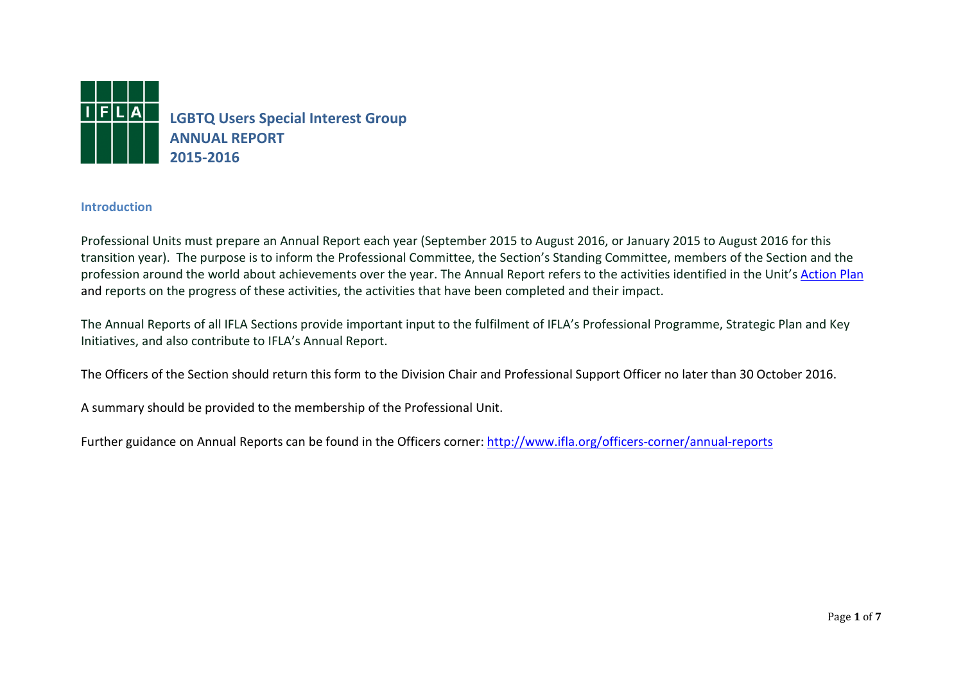

## **Introduction**

Professional Units must prepare an Annual Report each year (September 2015 to August 2016, or January 2015 to August 2016 for this transition year). The purpose is to inform the Professional Committee, the Section's Standing Committee, members of the Section and the profession around the world about achievements over the year. The Annual Report refers to the activities identified in the Unit's [Action Plan](http://www.ifla.org/officers-corner/action-plans) and reports on the progress of these activities, the activities that have been completed and their impact.

The Annual Reports of all IFLA Sections provide important input to the fulfilment of IFLA's Professional Programme, Strategic Plan and Key Initiatives, and also contribute to IFLA's Annual Report.

The Officers of the Section should return this form to the Division Chair and Professional Support Officer no later than 30 October 2016.

A summary should be provided to the membership of the Professional Unit.

Further guidance on Annual Reports can be found in the Officers corner:<http://www.ifla.org/officers-corner/annual-reports>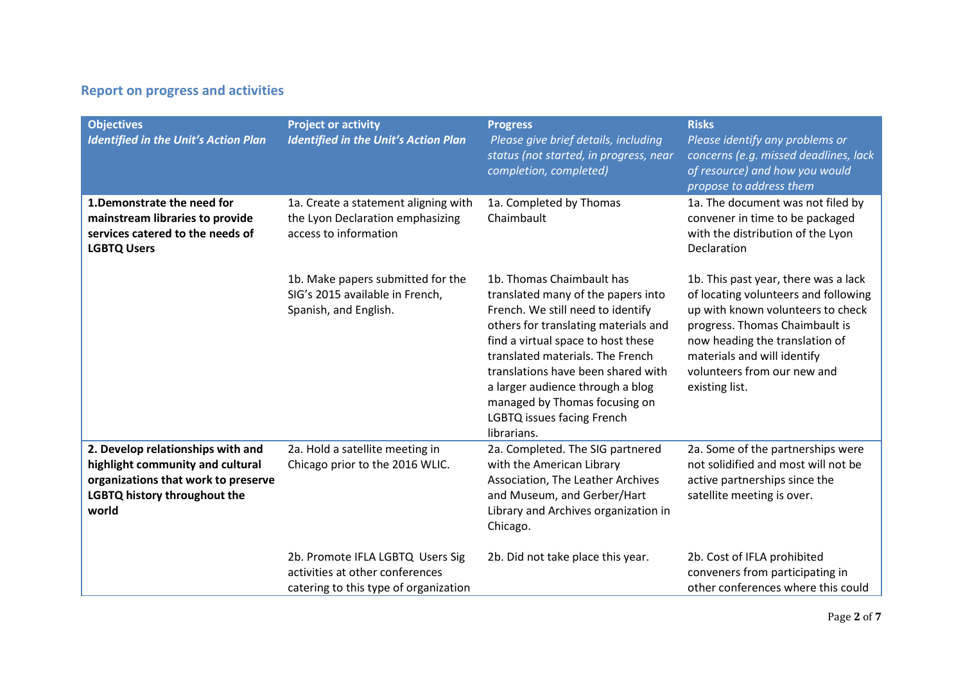## **Report on progress and activities**

| <b>Objectives</b><br><b>Identified in the Unit's Action Plan</b>                                                                                      | <b>Project or activity</b><br><b>Identified in the Unit's Action Plan</b>                                    | <b>Progress</b><br>Please give brief details, including<br>status (not started, in progress, near<br>completion, completed)                                                                                                                                                                                                                                                    | <b>Risks</b><br>Please identify any problems or<br>concerns (e.g. missed deadlines, lack<br>of resource) and how you would<br>propose to address them                                                                                                                 |
|-------------------------------------------------------------------------------------------------------------------------------------------------------|--------------------------------------------------------------------------------------------------------------|--------------------------------------------------------------------------------------------------------------------------------------------------------------------------------------------------------------------------------------------------------------------------------------------------------------------------------------------------------------------------------|-----------------------------------------------------------------------------------------------------------------------------------------------------------------------------------------------------------------------------------------------------------------------|
| 1. Demonstrate the need for<br>mainstream libraries to provide<br>services catered to the needs of<br><b>LGBTQ Users</b>                              | 1a. Create a statement aligning with<br>the Lyon Declaration emphasizing<br>access to information            | 1a. Completed by Thomas<br>Chaimbault                                                                                                                                                                                                                                                                                                                                          | 1a. The document was not filed by<br>convener in time to be packaged<br>with the distribution of the Lyon<br>Declaration                                                                                                                                              |
|                                                                                                                                                       | 1b. Make papers submitted for the<br>SIG's 2015 available in French,<br>Spanish, and English.                | 1b. Thomas Chaimbault has<br>translated many of the papers into<br>French. We still need to identify<br>others for translating materials and<br>find a virtual space to host these<br>translated materials. The French<br>translations have been shared with<br>a larger audience through a blog<br>managed by Thomas focusing on<br>LGBTQ issues facing French<br>librarians. | 1b. This past year, there was a lack<br>of locating volunteers and following<br>up with known volunteers to check<br>progress. Thomas Chaimbault is<br>now heading the translation of<br>materials and will identify<br>volunteers from our new and<br>existing list. |
| 2. Develop relationships with and<br>highlight community and cultural<br>organizations that work to preserve<br>LGBTQ history throughout the<br>world | 2a. Hold a satellite meeting in<br>Chicago prior to the 2016 WLIC.                                           | 2a. Completed. The SIG partnered<br>with the American Library<br>Association, The Leather Archives<br>and Museum, and Gerber/Hart<br>Library and Archives organization in<br>Chicago.                                                                                                                                                                                          | 2a. Some of the partnerships were<br>not solidified and most will not be<br>active partnerships since the<br>satellite meeting is over.                                                                                                                               |
|                                                                                                                                                       | 2b. Promote IFLA LGBTQ Users Sig<br>activities at other conferences<br>catering to this type of organization | 2b. Did not take place this year.                                                                                                                                                                                                                                                                                                                                              | 2b. Cost of IFLA prohibited<br>conveners from participating in<br>other conferences where this could                                                                                                                                                                  |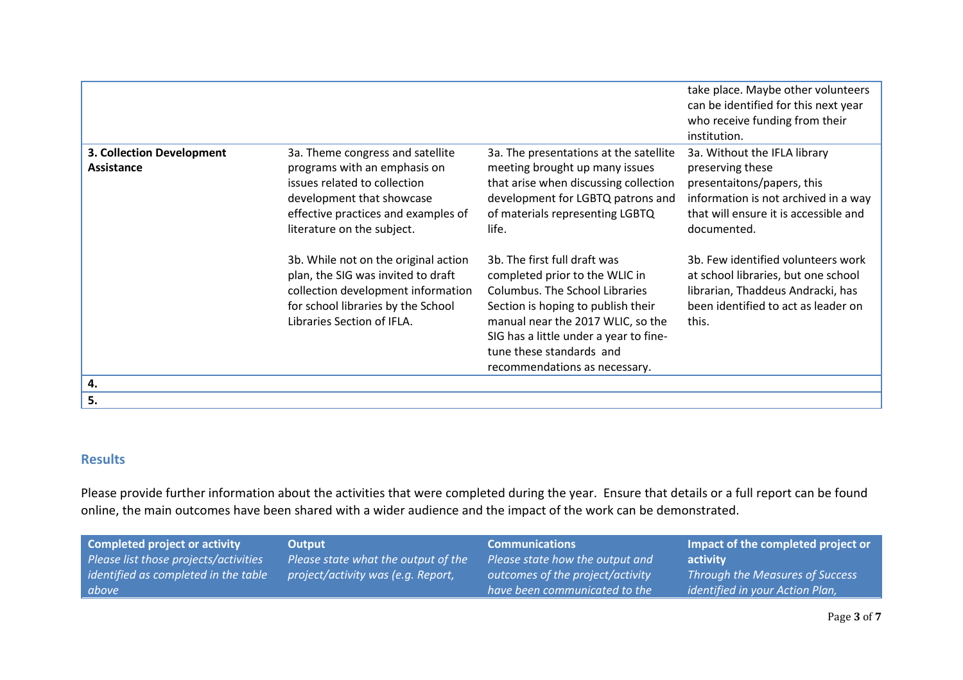|                                                |                                                                                                                                                                                                    |                                                                                                                                                                                                                                                                                           | take place. Maybe other volunteers<br>can be identified for this next year<br>who receive funding from their<br>institution.                                                   |
|------------------------------------------------|----------------------------------------------------------------------------------------------------------------------------------------------------------------------------------------------------|-------------------------------------------------------------------------------------------------------------------------------------------------------------------------------------------------------------------------------------------------------------------------------------------|--------------------------------------------------------------------------------------------------------------------------------------------------------------------------------|
| 3. Collection Development<br><b>Assistance</b> | 3a. Theme congress and satellite<br>programs with an emphasis on<br>issues related to collection<br>development that showcase<br>effective practices and examples of<br>literature on the subject. | 3a. The presentations at the satellite<br>meeting brought up many issues<br>that arise when discussing collection<br>development for LGBTQ patrons and<br>of materials representing LGBTQ<br>life.                                                                                        | 3a. Without the IFLA library<br>preserving these<br>presentaitons/papers, this<br>information is not archived in a way<br>that will ensure it is accessible and<br>documented. |
|                                                | 3b. While not on the original action<br>plan, the SIG was invited to draft<br>collection development information<br>for school libraries by the School<br>Libraries Section of IFLA.               | 3b. The first full draft was<br>completed prior to the WLIC in<br><b>Columbus. The School Libraries</b><br>Section is hoping to publish their<br>manual near the 2017 WLIC, so the<br>SIG has a little under a year to fine-<br>tune these standards and<br>recommendations as necessary. | 3b. Few identified volunteers work<br>at school libraries, but one school<br>librarian, Thaddeus Andracki, has<br>been identified to act as leader on<br>this.                 |
| 4.                                             |                                                                                                                                                                                                    |                                                                                                                                                                                                                                                                                           |                                                                                                                                                                                |
| 5.                                             |                                                                                                                                                                                                    |                                                                                                                                                                                                                                                                                           |                                                                                                                                                                                |

## **Results**

Please provide further information about the activities that were completed during the year. Ensure that details or a full report can be found online, the main outcomes have been shared with a wider audience and the impact of the work can be demonstrated.

| <b>Completed project or activity</b>  | Output                              | <b>Communications</b>            | Impact of the completed project or     |
|---------------------------------------|-------------------------------------|----------------------------------|----------------------------------------|
| Please list those projects/activities | Please state what the output of the | Please state how the output and  | activity                               |
| identified as completed in the table  | project/activity was (e.g. Report,  | outcomes of the project/activity | <b>Through the Measures of Success</b> |
| above                                 |                                     | have been communicated to the    | identified in your Action Plan,        |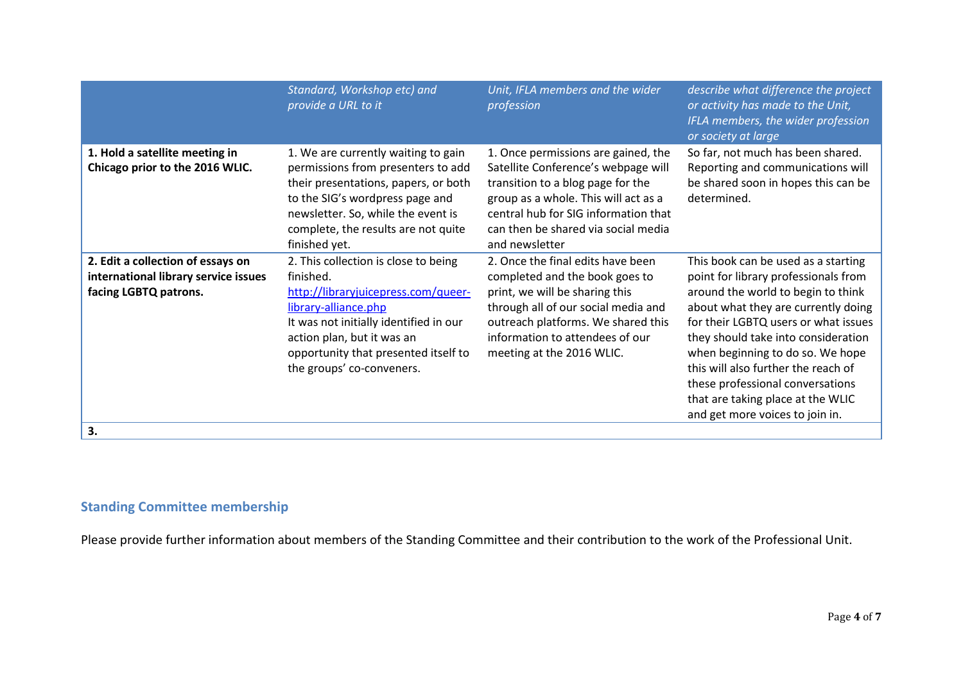|                                                                                                    | Standard, Workshop etc) and<br>provide a URL to it                                                                                                                                                                                                            | Unit, IFLA members and the wider<br>profession                                                                                                                                                                                                           | describe what difference the project<br>or activity has made to the Unit,<br>IFLA members, the wider profession<br>or society at large                                                                                                                                                                                                                                                                                         |
|----------------------------------------------------------------------------------------------------|---------------------------------------------------------------------------------------------------------------------------------------------------------------------------------------------------------------------------------------------------------------|----------------------------------------------------------------------------------------------------------------------------------------------------------------------------------------------------------------------------------------------------------|--------------------------------------------------------------------------------------------------------------------------------------------------------------------------------------------------------------------------------------------------------------------------------------------------------------------------------------------------------------------------------------------------------------------------------|
| 1. Hold a satellite meeting in<br>Chicago prior to the 2016 WLIC.                                  | 1. We are currently waiting to gain<br>permissions from presenters to add<br>their presentations, papers, or both<br>to the SIG's wordpress page and<br>newsletter. So, while the event is<br>complete, the results are not quite<br>finished yet.            | 1. Once permissions are gained, the<br>Satellite Conference's webpage will<br>transition to a blog page for the<br>group as a whole. This will act as a<br>central hub for SIG information that<br>can then be shared via social media<br>and newsletter | So far, not much has been shared.<br>Reporting and communications will<br>be shared soon in hopes this can be<br>determined.                                                                                                                                                                                                                                                                                                   |
| 2. Edit a collection of essays on<br>international library service issues<br>facing LGBTQ patrons. | 2. This collection is close to being<br>finished.<br>http://libraryjuicepress.com/queer-<br>library-alliance.php<br>It was not initially identified in our<br>action plan, but it was an<br>opportunity that presented itself to<br>the groups' co-conveners. | 2. Once the final edits have been<br>completed and the book goes to<br>print, we will be sharing this<br>through all of our social media and<br>outreach platforms. We shared this<br>information to attendees of our<br>meeting at the 2016 WLIC.       | This book can be used as a starting<br>point for library professionals from<br>around the world to begin to think<br>about what they are currently doing<br>for their LGBTQ users or what issues<br>they should take into consideration<br>when beginning to do so. We hope<br>this will also further the reach of<br>these professional conversations<br>that are taking place at the WLIC<br>and get more voices to join in. |
| 3.                                                                                                 |                                                                                                                                                                                                                                                               |                                                                                                                                                                                                                                                          |                                                                                                                                                                                                                                                                                                                                                                                                                                |

## **Standing Committee membership**

Please provide further information about members of the Standing Committee and their contribution to the work of the Professional Unit.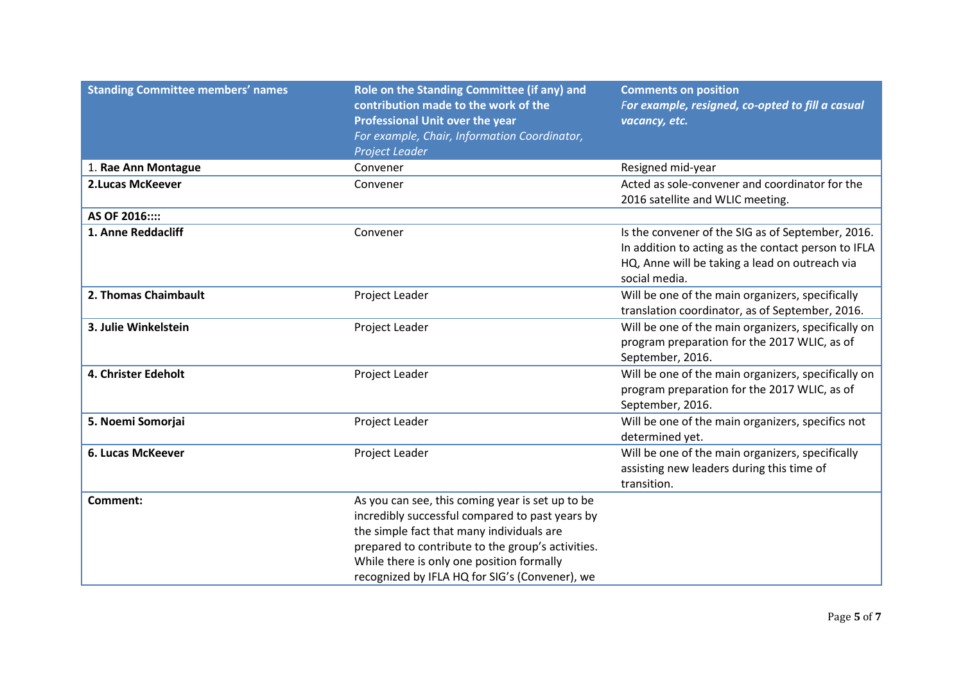| <b>Standing Committee members' names</b> | Role on the Standing Committee (if any) and<br>contribution made to the work of the<br><b>Professional Unit over the year</b><br>For example, Chair, Information Coordinator,<br>Project Leader                                                                                                      | <b>Comments on position</b><br>For example, resigned, co-opted to fill a casual<br>vacancy, etc.                                                                            |
|------------------------------------------|------------------------------------------------------------------------------------------------------------------------------------------------------------------------------------------------------------------------------------------------------------------------------------------------------|-----------------------------------------------------------------------------------------------------------------------------------------------------------------------------|
| 1. Rae Ann Montague                      | Convener                                                                                                                                                                                                                                                                                             | Resigned mid-year                                                                                                                                                           |
| <b>2.Lucas McKeever</b>                  | Convener                                                                                                                                                                                                                                                                                             | Acted as sole-convener and coordinator for the<br>2016 satellite and WLIC meeting.                                                                                          |
| AS OF 2016::::                           |                                                                                                                                                                                                                                                                                                      |                                                                                                                                                                             |
| 1. Anne Reddacliff                       | Convener                                                                                                                                                                                                                                                                                             | Is the convener of the SIG as of September, 2016.<br>In addition to acting as the contact person to IFLA<br>HQ, Anne will be taking a lead on outreach via<br>social media. |
| 2. Thomas Chaimbault                     | Project Leader                                                                                                                                                                                                                                                                                       | Will be one of the main organizers, specifically<br>translation coordinator, as of September, 2016.                                                                         |
| 3. Julie Winkelstein                     | Project Leader                                                                                                                                                                                                                                                                                       | Will be one of the main organizers, specifically on<br>program preparation for the 2017 WLIC, as of<br>September, 2016.                                                     |
| 4. Christer Edeholt                      | Project Leader                                                                                                                                                                                                                                                                                       | Will be one of the main organizers, specifically on<br>program preparation for the 2017 WLIC, as of<br>September, 2016.                                                     |
| 5. Noemi Somorjai                        | Project Leader                                                                                                                                                                                                                                                                                       | Will be one of the main organizers, specifics not<br>determined yet.                                                                                                        |
| 6. Lucas McKeever                        | Project Leader                                                                                                                                                                                                                                                                                       | Will be one of the main organizers, specifically<br>assisting new leaders during this time of<br>transition.                                                                |
| <b>Comment:</b>                          | As you can see, this coming year is set up to be<br>incredibly successful compared to past years by<br>the simple fact that many individuals are<br>prepared to contribute to the group's activities.<br>While there is only one position formally<br>recognized by IFLA HQ for SIG's (Convener), we |                                                                                                                                                                             |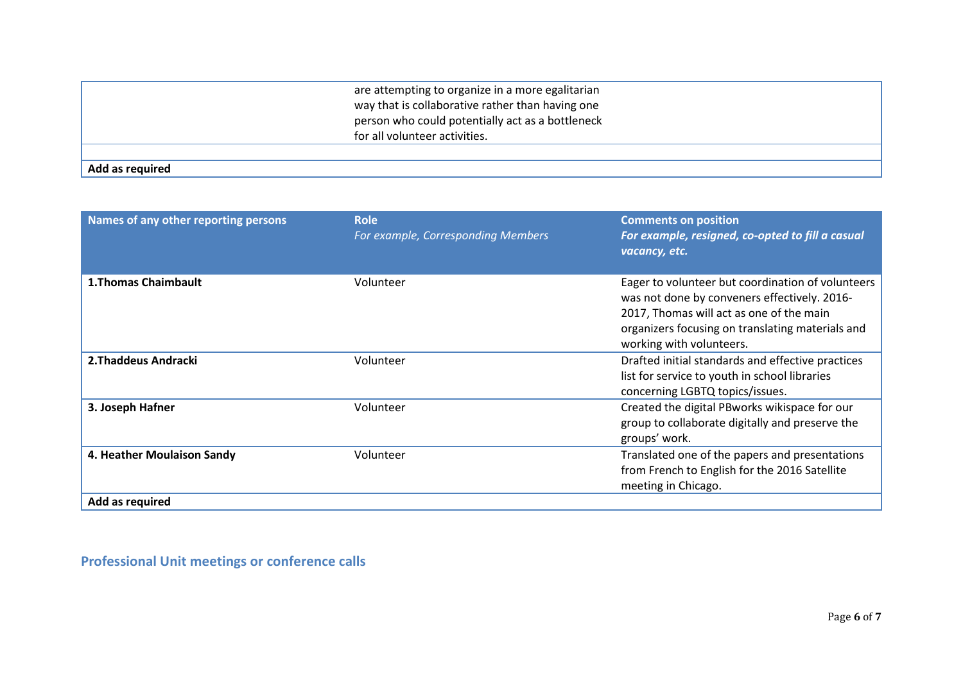|                 | are attempting to organize in a more egalitarian<br>way that is collaborative rather than having one<br>person who could potentially act as a bottleneck<br>for all volunteer activities. |
|-----------------|-------------------------------------------------------------------------------------------------------------------------------------------------------------------------------------------|
|                 |                                                                                                                                                                                           |
| Add as required |                                                                                                                                                                                           |

| Names of any other reporting persons          | <b>Role</b><br>For example, Corresponding Members | <b>Comments on position</b><br>For example, resigned, co-opted to fill a casual<br>vacancy, etc.                                                                                                                              |
|-----------------------------------------------|---------------------------------------------------|-------------------------------------------------------------------------------------------------------------------------------------------------------------------------------------------------------------------------------|
| <b>1. Thomas Chaimbault</b>                   | Volunteer                                         | Eager to volunteer but coordination of volunteers<br>was not done by conveners effectively. 2016-<br>2017, Thomas will act as one of the main<br>organizers focusing on translating materials and<br>working with volunteers. |
| 2. Thaddeus Andracki                          | Volunteer                                         | Drafted initial standards and effective practices<br>list for service to youth in school libraries<br>concerning LGBTQ topics/issues.                                                                                         |
| 3. Joseph Hafner                              | Volunteer                                         | Created the digital PBworks wikispace for our<br>group to collaborate digitally and preserve the<br>groups' work.                                                                                                             |
| 4. Heather Moulaison Sandy<br>Add as required | Volunteer                                         | Translated one of the papers and presentations<br>from French to English for the 2016 Satellite<br>meeting in Chicago.                                                                                                        |

**Professional Unit meetings or conference calls**